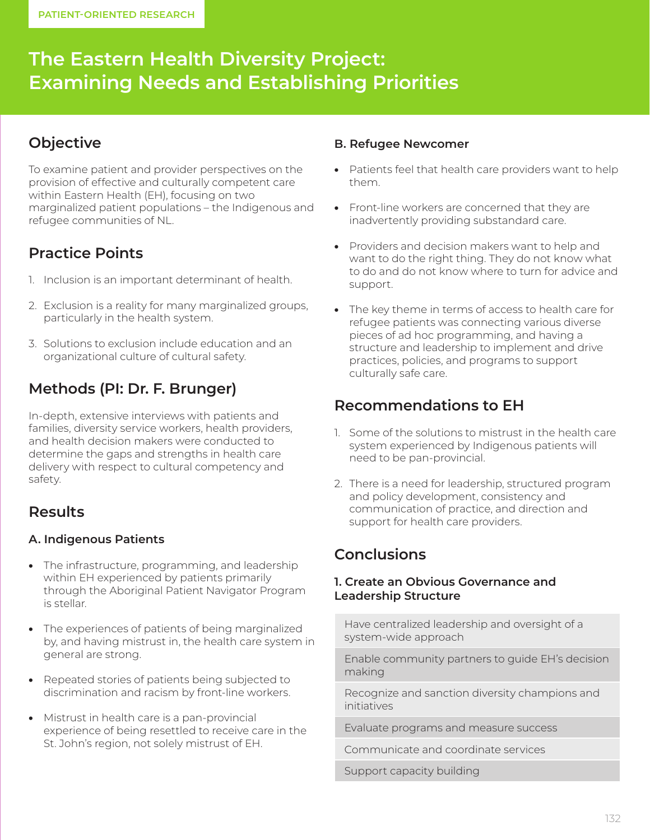# **The Eastern Health Diversity Project: Examining Needs and Establishing Priorities**

### **Objective**

To examine patient and provider perspectives on the provision of effective and culturally competent care within Eastern Health (EH), focusing on two marginalized patient populations – the Indigenous and refugee communities of NL.

## **Practice Points**

- 1. Inclusion is an important determinant of health.
- 2. Exclusion is a reality for many marginalized groups, particularly in the health system.
- 3. Solutions to exclusion include education and an organizational culture of cultural safety.

# **Methods (PI: Dr. F. Brunger)**

In-depth, extensive interviews with patients and families, diversity service workers, health providers, and health decision makers were conducted to determine the gaps and strengths in health care delivery with respect to cultural competency and safety.

## **Results**

### **A. Indigenous Patients**

- The infrastructure, programming, and leadership within EH experienced by patients primarily through the Aboriginal Patient Navigator Program is stellar.
- The experiences of patients of being marginalized by, and having mistrust in, the health care system in general are strong.
- Repeated stories of patients being subjected to discrimination and racism by front-line workers.
- Mistrust in health care is a pan-provincial experience of being resettled to receive care in the St. John's region, not solely mistrust of EH.

#### **B. Refugee Newcomer**

- Patients feel that health care providers want to help them.
- Front-line workers are concerned that they are inadvertently providing substandard care.
- Providers and decision makers want to help and want to do the right thing. They do not know what to do and do not know where to turn for advice and support.
- The key theme in terms of access to health care for refugee patients was connecting various diverse pieces of ad hoc programming, and having a structure and leadership to implement and drive practices, policies, and programs to support culturally safe care.

### **Recommendations to EH**

- 1. Some of the solutions to mistrust in the health care system experienced by Indigenous patients will need to be pan-provincial.
- 2. There is a need for leadership, structured program and policy development, consistency and communication of practice, and direction and support for health care providers.

### **Conclusions**

#### **1. Create an Obvious Governance and Leadership Structure**

Have centralized leadership and oversight of a system-wide approach

Enable community partners to guide EH's decision making

Recognize and sanction diversity champions and initiatives

Evaluate programs and measure success

Communicate and coordinate services

Support capacity building